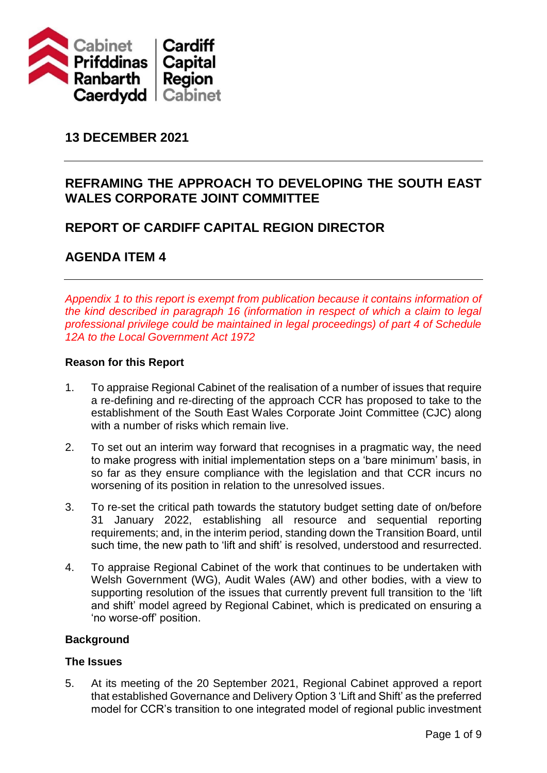

# **13 DECEMBER 2021**

# **REFRAMING THE APPROACH TO DEVELOPING THE SOUTH EAST WALES CORPORATE JOINT COMMITTEE**

## **REPORT OF CARDIFF CAPITAL REGION DIRECTOR**

# **AGENDA ITEM 4**

*Appendix 1 to this report is exempt from publication because it contains information of the kind described in paragraph 16 (information in respect of which a claim to legal professional privilege could be maintained in legal proceedings) of part 4 of Schedule 12A to the Local Government Act 1972*

### **Reason for this Report**

- 1. To appraise Regional Cabinet of the realisation of a number of issues that require a re-defining and re-directing of the approach CCR has proposed to take to the establishment of the South East Wales Corporate Joint Committee (CJC) along with a number of risks which remain live.
- 2. To set out an interim way forward that recognises in a pragmatic way, the need to make progress with initial implementation steps on a 'bare minimum' basis, in so far as they ensure compliance with the legislation and that CCR incurs no worsening of its position in relation to the unresolved issues.
- 3. To re-set the critical path towards the statutory budget setting date of on/before 31 January 2022, establishing all resource and sequential reporting requirements; and, in the interim period, standing down the Transition Board, until such time, the new path to 'lift and shift' is resolved, understood and resurrected.
- 4. To appraise Regional Cabinet of the work that continues to be undertaken with Welsh Government (WG), Audit Wales (AW) and other bodies, with a view to supporting resolution of the issues that currently prevent full transition to the 'lift and shift' model agreed by Regional Cabinet, which is predicated on ensuring a 'no worse-off' position.

### **Background**

### **The Issues**

5. At its meeting of the 20 September 2021, Regional Cabinet approved a report that established Governance and Delivery Option 3 'Lift and Shift' as the preferred model for CCR's transition to one integrated model of regional public investment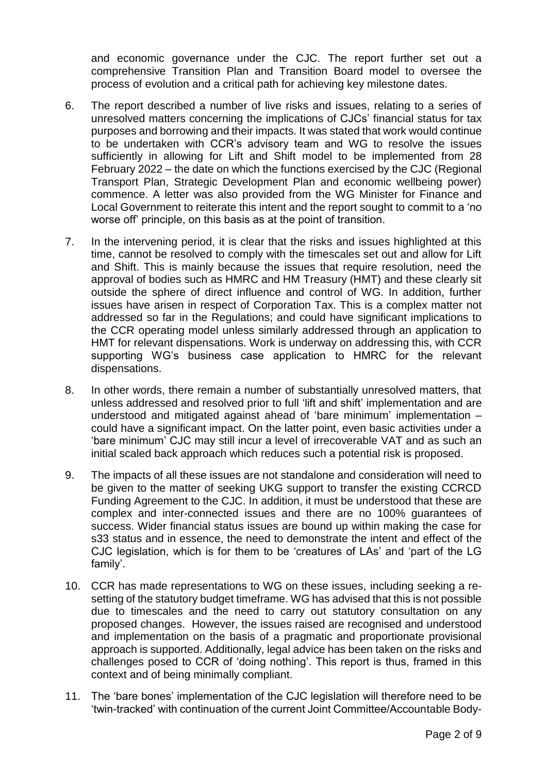and economic governance under the CJC. The report further set out a comprehensive Transition Plan and Transition Board model to oversee the process of evolution and a critical path for achieving key milestone dates.

- 6. The report described a number of live risks and issues, relating to a series of unresolved matters concerning the implications of CJCs' financial status for tax purposes and borrowing and their impacts. It was stated that work would continue to be undertaken with CCR's advisory team and WG to resolve the issues sufficiently in allowing for Lift and Shift model to be implemented from 28 February 2022 – the date on which the functions exercised by the CJC (Regional Transport Plan, Strategic Development Plan and economic wellbeing power) commence. A letter was also provided from the WG Minister for Finance and Local Government to reiterate this intent and the report sought to commit to a 'no worse off' principle, on this basis as at the point of transition.
- 7. In the intervening period, it is clear that the risks and issues highlighted at this time, cannot be resolved to comply with the timescales set out and allow for Lift and Shift. This is mainly because the issues that require resolution, need the approval of bodies such as HMRC and HM Treasury (HMT) and these clearly sit outside the sphere of direct influence and control of WG. In addition, further issues have arisen in respect of Corporation Tax. This is a complex matter not addressed so far in the Regulations; and could have significant implications to the CCR operating model unless similarly addressed through an application to HMT for relevant dispensations. Work is underway on addressing this, with CCR supporting WG's business case application to HMRC for the relevant dispensations.
- 8. In other words, there remain a number of substantially unresolved matters, that unless addressed and resolved prior to full 'lift and shift' implementation and are understood and mitigated against ahead of 'bare minimum' implementation – could have a significant impact. On the latter point, even basic activities under a 'bare minimum' CJC may still incur a level of irrecoverable VAT and as such an initial scaled back approach which reduces such a potential risk is proposed.
- 9. The impacts of all these issues are not standalone and consideration will need to be given to the matter of seeking UKG support to transfer the existing CCRCD Funding Agreement to the CJC. In addition, it must be understood that these are complex and inter-connected issues and there are no 100% guarantees of success. Wider financial status issues are bound up within making the case for s33 status and in essence, the need to demonstrate the intent and effect of the CJC legislation, which is for them to be 'creatures of LAs' and 'part of the LG family'.
- 10. CCR has made representations to WG on these issues, including seeking a resetting of the statutory budget timeframe. WG has advised that this is not possible due to timescales and the need to carry out statutory consultation on any proposed changes. However, the issues raised are recognised and understood and implementation on the basis of a pragmatic and proportionate provisional approach is supported. Additionally, legal advice has been taken on the risks and challenges posed to CCR of 'doing nothing'. This report is thus, framed in this context and of being minimally compliant.
- 11. The 'bare bones' implementation of the CJC legislation will therefore need to be 'twin-tracked' with continuation of the current Joint Committee/Accountable Body-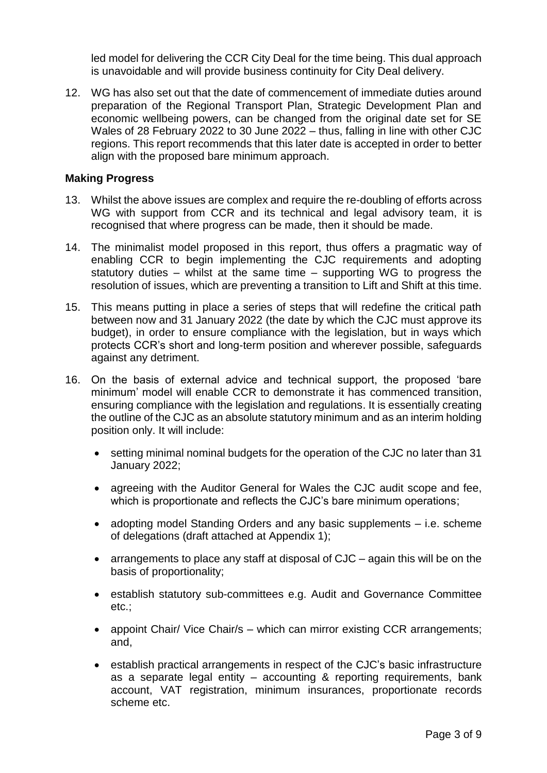led model for delivering the CCR City Deal for the time being. This dual approach is unavoidable and will provide business continuity for City Deal delivery.

12. WG has also set out that the date of commencement of immediate duties around preparation of the Regional Transport Plan, Strategic Development Plan and economic wellbeing powers, can be changed from the original date set for SE Wales of 28 February 2022 to 30 June 2022 – thus, falling in line with other CJC regions. This report recommends that this later date is accepted in order to better align with the proposed bare minimum approach.

#### **Making Progress**

- 13. Whilst the above issues are complex and require the re-doubling of efforts across WG with support from CCR and its technical and legal advisory team, it is recognised that where progress can be made, then it should be made.
- 14. The minimalist model proposed in this report, thus offers a pragmatic way of enabling CCR to begin implementing the CJC requirements and adopting statutory duties – whilst at the same time – supporting WG to progress the resolution of issues, which are preventing a transition to Lift and Shift at this time.
- 15. This means putting in place a series of steps that will redefine the critical path between now and 31 January 2022 (the date by which the CJC must approve its budget), in order to ensure compliance with the legislation, but in ways which protects CCR's short and long-term position and wherever possible, safeguards against any detriment.
- 16. On the basis of external advice and technical support, the proposed 'bare minimum' model will enable CCR to demonstrate it has commenced transition, ensuring compliance with the legislation and regulations. It is essentially creating the outline of the CJC as an absolute statutory minimum and as an interim holding position only. It will include:
	- setting minimal nominal budgets for the operation of the CJC no later than 31 January 2022;
	- agreeing with the Auditor General for Wales the CJC audit scope and fee, which is proportionate and reflects the CJC's bare minimum operations;
	- adopting model Standing Orders and any basic supplements i.e. scheme of delegations (draft attached at Appendix 1);
	- arrangements to place any staff at disposal of CJC again this will be on the basis of proportionality;
	- establish statutory sub-committees e.g. Audit and Governance Committee etc.;
	- appoint Chair/ Vice Chair/s which can mirror existing CCR arrangements; and,
	- establish practical arrangements in respect of the CJC's basic infrastructure as a separate legal entity – accounting & reporting requirements, bank account, VAT registration, minimum insurances, proportionate records scheme etc.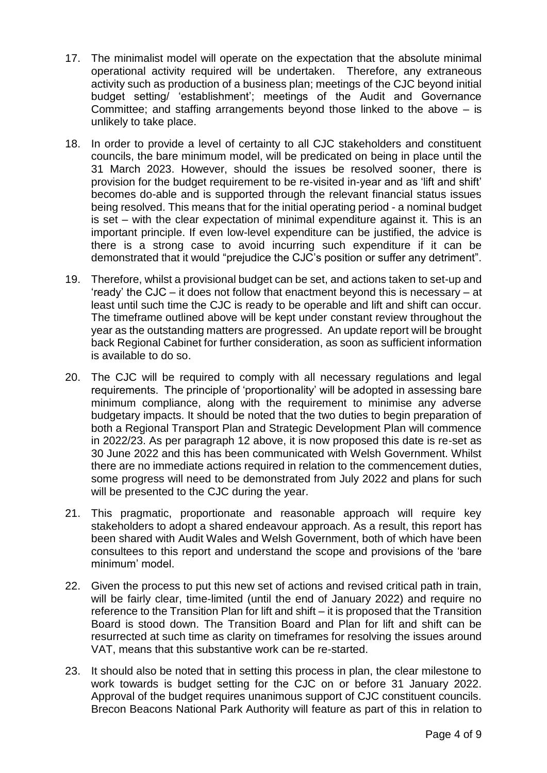- 17. The minimalist model will operate on the expectation that the absolute minimal operational activity required will be undertaken. Therefore, any extraneous activity such as production of a business plan; meetings of the CJC beyond initial budget setting/ 'establishment'; meetings of the Audit and Governance Committee; and staffing arrangements beyond those linked to the above  $-$  is unlikely to take place.
- 18. In order to provide a level of certainty to all CJC stakeholders and constituent councils, the bare minimum model, will be predicated on being in place until the 31 March 2023. However, should the issues be resolved sooner, there is provision for the budget requirement to be re-visited in-year and as 'lift and shift' becomes do-able and is supported through the relevant financial status issues being resolved. This means that for the initial operating period - a nominal budget is set – with the clear expectation of minimal expenditure against it. This is an important principle. If even low-level expenditure can be justified, the advice is there is a strong case to avoid incurring such expenditure if it can be demonstrated that it would "prejudice the CJC's position or suffer any detriment".
- 19. Therefore, whilst a provisional budget can be set, and actions taken to set-up and 'ready' the CJC – it does not follow that enactment beyond this is necessary – at least until such time the CJC is ready to be operable and lift and shift can occur. The timeframe outlined above will be kept under constant review throughout the year as the outstanding matters are progressed. An update report will be brought back Regional Cabinet for further consideration, as soon as sufficient information is available to do so.
- 20. The CJC will be required to comply with all necessary regulations and legal requirements. The principle of 'proportionality' will be adopted in assessing bare minimum compliance, along with the requirement to minimise any adverse budgetary impacts. It should be noted that the two duties to begin preparation of both a Regional Transport Plan and Strategic Development Plan will commence in 2022/23. As per paragraph 12 above, it is now proposed this date is re-set as 30 June 2022 and this has been communicated with Welsh Government. Whilst there are no immediate actions required in relation to the commencement duties, some progress will need to be demonstrated from July 2022 and plans for such will be presented to the CJC during the year.
- 21. This pragmatic, proportionate and reasonable approach will require key stakeholders to adopt a shared endeavour approach. As a result, this report has been shared with Audit Wales and Welsh Government, both of which have been consultees to this report and understand the scope and provisions of the 'bare minimum' model.
- 22. Given the process to put this new set of actions and revised critical path in train, will be fairly clear, time-limited (until the end of January 2022) and require no reference to the Transition Plan for lift and shift – it is proposed that the Transition Board is stood down. The Transition Board and Plan for lift and shift can be resurrected at such time as clarity on timeframes for resolving the issues around VAT, means that this substantive work can be re-started.
- 23. It should also be noted that in setting this process in plan, the clear milestone to work towards is budget setting for the CJC on or before 31 January 2022. Approval of the budget requires unanimous support of CJC constituent councils. Brecon Beacons National Park Authority will feature as part of this in relation to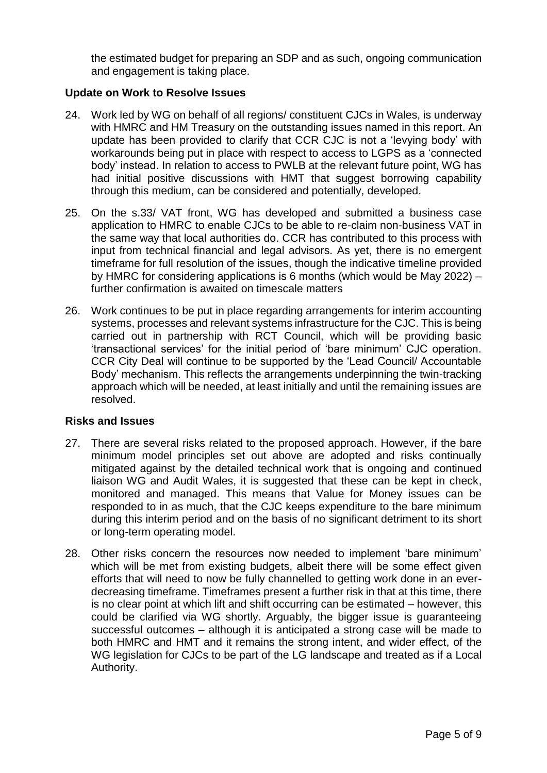the estimated budget for preparing an SDP and as such, ongoing communication and engagement is taking place.

### **Update on Work to Resolve Issues**

- 24. Work led by WG on behalf of all regions/ constituent CJCs in Wales, is underway with HMRC and HM Treasury on the outstanding issues named in this report. An update has been provided to clarify that CCR CJC is not a 'levying body' with workarounds being put in place with respect to access to LGPS as a 'connected body' instead. In relation to access to PWLB at the relevant future point, WG has had initial positive discussions with HMT that suggest borrowing capability through this medium, can be considered and potentially, developed.
- 25. On the s.33/ VAT front, WG has developed and submitted a business case application to HMRC to enable CJCs to be able to re-claim non-business VAT in the same way that local authorities do. CCR has contributed to this process with input from technical financial and legal advisors. As yet, there is no emergent timeframe for full resolution of the issues, though the indicative timeline provided by HMRC for considering applications is 6 months (which would be May 2022) – further confirmation is awaited on timescale matters
- 26. Work continues to be put in place regarding arrangements for interim accounting systems, processes and relevant systems infrastructure for the CJC. This is being carried out in partnership with RCT Council, which will be providing basic 'transactional services' for the initial period of 'bare minimum' CJC operation. CCR City Deal will continue to be supported by the 'Lead Council/ Accountable Body' mechanism. This reflects the arrangements underpinning the twin-tracking approach which will be needed, at least initially and until the remaining issues are resolved.

### **Risks and Issues**

- 27. There are several risks related to the proposed approach. However, if the bare minimum model principles set out above are adopted and risks continually mitigated against by the detailed technical work that is ongoing and continued liaison WG and Audit Wales, it is suggested that these can be kept in check, monitored and managed. This means that Value for Money issues can be responded to in as much, that the CJC keeps expenditure to the bare minimum during this interim period and on the basis of no significant detriment to its short or long-term operating model.
- 28. Other risks concern the resources now needed to implement 'bare minimum' which will be met from existing budgets, albeit there will be some effect given efforts that will need to now be fully channelled to getting work done in an everdecreasing timeframe. Timeframes present a further risk in that at this time, there is no clear point at which lift and shift occurring can be estimated – however, this could be clarified via WG shortly. Arguably, the bigger issue is guaranteeing successful outcomes – although it is anticipated a strong case will be made to both HMRC and HMT and it remains the strong intent, and wider effect, of the WG legislation for CJCs to be part of the LG landscape and treated as if a Local Authority.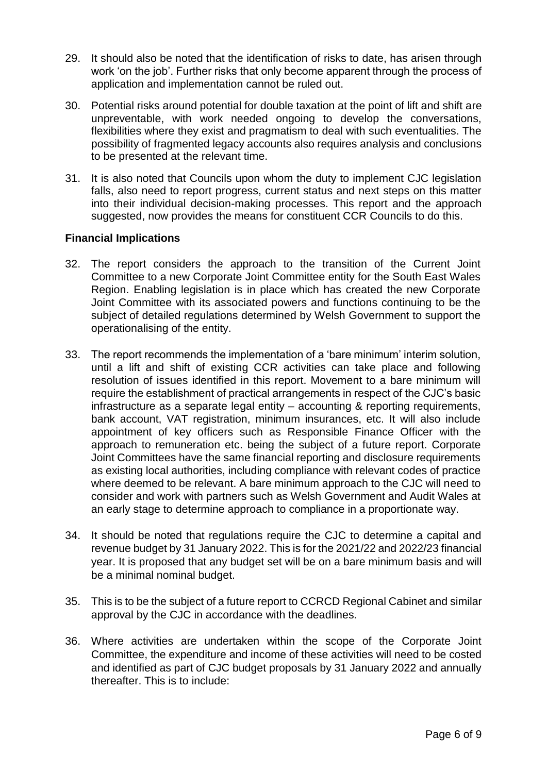- 29. It should also be noted that the identification of risks to date, has arisen through work 'on the job'. Further risks that only become apparent through the process of application and implementation cannot be ruled out.
- 30. Potential risks around potential for double taxation at the point of lift and shift are unpreventable, with work needed ongoing to develop the conversations, flexibilities where they exist and pragmatism to deal with such eventualities. The possibility of fragmented legacy accounts also requires analysis and conclusions to be presented at the relevant time.
- 31. It is also noted that Councils upon whom the duty to implement CJC legislation falls, also need to report progress, current status and next steps on this matter into their individual decision-making processes. This report and the approach suggested, now provides the means for constituent CCR Councils to do this.

#### **Financial Implications**

- 32. The report considers the approach to the transition of the Current Joint Committee to a new Corporate Joint Committee entity for the South East Wales Region. Enabling legislation is in place which has created the new Corporate Joint Committee with its associated powers and functions continuing to be the subject of detailed regulations determined by Welsh Government to support the operationalising of the entity.
- 33. The report recommends the implementation of a 'bare minimum' interim solution, until a lift and shift of existing CCR activities can take place and following resolution of issues identified in this report. Movement to a bare minimum will require the establishment of practical arrangements in respect of the CJC's basic infrastructure as a separate legal entity – accounting & reporting requirements, bank account, VAT registration, minimum insurances, etc. It will also include appointment of key officers such as Responsible Finance Officer with the approach to remuneration etc. being the subject of a future report. Corporate Joint Committees have the same financial reporting and disclosure requirements as existing local authorities, including compliance with relevant codes of practice where deemed to be relevant. A bare minimum approach to the CJC will need to consider and work with partners such as Welsh Government and Audit Wales at an early stage to determine approach to compliance in a proportionate way.
- 34. It should be noted that regulations require the CJC to determine a capital and revenue budget by 31 January 2022. This is for the 2021/22 and 2022/23 financial year. It is proposed that any budget set will be on a bare minimum basis and will be a minimal nominal budget.
- 35. This is to be the subject of a future report to CCRCD Regional Cabinet and similar approval by the CJC in accordance with the deadlines.
- 36. Where activities are undertaken within the scope of the Corporate Joint Committee, the expenditure and income of these activities will need to be costed and identified as part of CJC budget proposals by 31 January 2022 and annually thereafter. This is to include: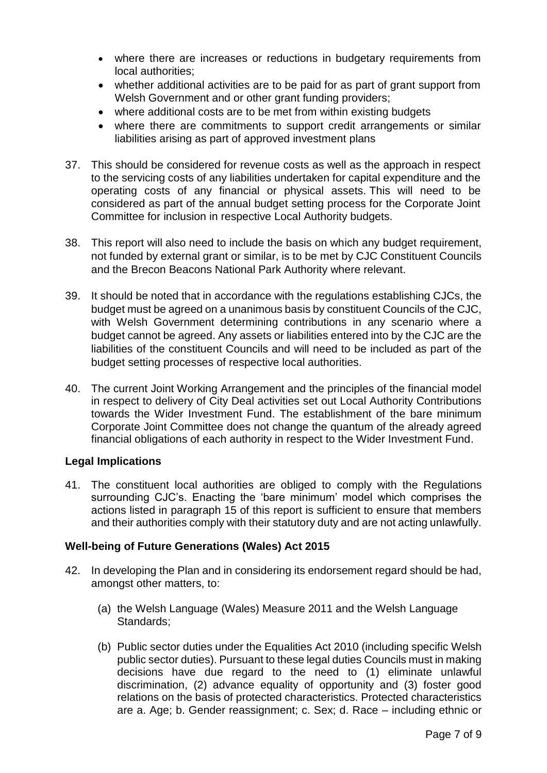- where there are increases or reductions in budgetary requirements from local authorities;
- whether additional activities are to be paid for as part of grant support from Welsh Government and or other grant funding providers;
- where additional costs are to be met from within existing budgets
- where there are commitments to support credit arrangements or similar liabilities arising as part of approved investment plans
- 37. This should be considered for revenue costs as well as the approach in respect to the servicing costs of any liabilities undertaken for capital expenditure and the operating costs of any financial or physical assets. This will need to be considered as part of the annual budget setting process for the Corporate Joint Committee for inclusion in respective Local Authority budgets.
- 38. This report will also need to include the basis on which any budget requirement, not funded by external grant or similar, is to be met by CJC Constituent Councils and the Brecon Beacons National Park Authority where relevant.
- 39. It should be noted that in accordance with the regulations establishing CJCs, the budget must be agreed on a unanimous basis by constituent Councils of the CJC, with Welsh Government determining contributions in any scenario where a budget cannot be agreed. Any assets or liabilities entered into by the CJC are the liabilities of the constituent Councils and will need to be included as part of the budget setting processes of respective local authorities.
- 40. The current Joint Working Arrangement and the principles of the financial model in respect to delivery of City Deal activities set out Local Authority Contributions towards the Wider Investment Fund. The establishment of the bare minimum Corporate Joint Committee does not change the quantum of the already agreed financial obligations of each authority in respect to the Wider Investment Fund.

### **Legal Implications**

41. The constituent local authorities are obliged to comply with the Regulations surrounding CJC's. Enacting the 'bare minimum' model which comprises the actions listed in paragraph 15 of this report is sufficient to ensure that members and their authorities comply with their statutory duty and are not acting unlawfully.

### **Well-being of Future Generations (Wales) Act 2015**

- 42. In developing the Plan and in considering its endorsement regard should be had, amongst other matters, to:
	- (a) the Welsh Language (Wales) Measure 2011 and the Welsh Language Standards:
	- (b) Public sector duties under the Equalities Act 2010 (including specific Welsh public sector duties). Pursuant to these legal duties Councils must in making decisions have due regard to the need to (1) eliminate unlawful discrimination, (2) advance equality of opportunity and (3) foster good relations on the basis of protected characteristics. Protected characteristics are a. Age; b. Gender reassignment; c. Sex; d. Race – including ethnic or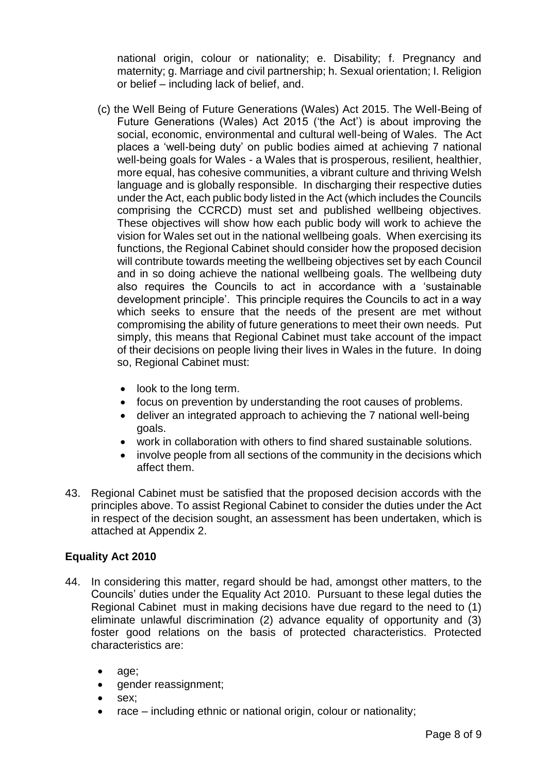national origin, colour or nationality; e. Disability; f. Pregnancy and maternity; g. Marriage and civil partnership; h. Sexual orientation; I. Religion or belief – including lack of belief, and.

- (c) the Well Being of Future Generations (Wales) Act 2015. The Well-Being of Future Generations (Wales) Act 2015 ('the Act') is about improving the social, economic, environmental and cultural well-being of Wales. The Act places a 'well-being duty' on public bodies aimed at achieving 7 national well-being goals for Wales - a Wales that is prosperous, resilient, healthier, more equal, has cohesive communities, a vibrant culture and thriving Welsh language and is globally responsible. In discharging their respective duties under the Act, each public body listed in the Act (which includes the Councils comprising the CCRCD) must set and published wellbeing objectives. These objectives will show how each public body will work to achieve the vision for Wales set out in the national wellbeing goals. When exercising its functions, the Regional Cabinet should consider how the proposed decision will contribute towards meeting the wellbeing objectives set by each Council and in so doing achieve the national wellbeing goals. The wellbeing duty also requires the Councils to act in accordance with a 'sustainable development principle'. This principle requires the Councils to act in a way which seeks to ensure that the needs of the present are met without compromising the ability of future generations to meet their own needs. Put simply, this means that Regional Cabinet must take account of the impact of their decisions on people living their lives in Wales in the future. In doing so, Regional Cabinet must:
	- look to the long term.
	- focus on prevention by understanding the root causes of problems.
	- deliver an integrated approach to achieving the 7 national well-being goals.
	- work in collaboration with others to find shared sustainable solutions.
	- involve people from all sections of the community in the decisions which affect them.
- 43. Regional Cabinet must be satisfied that the proposed decision accords with the principles above. To assist Regional Cabinet to consider the duties under the Act in respect of the decision sought, an assessment has been undertaken, which is attached at Appendix 2.

### **Equality Act 2010**

- 44. In considering this matter, regard should be had, amongst other matters, to the Councils' duties under the Equality Act 2010. Pursuant to these legal duties the Regional Cabinet must in making decisions have due regard to the need to (1) eliminate unlawful discrimination (2) advance equality of opportunity and (3) foster good relations on the basis of protected characteristics. Protected characteristics are:
	- age;
	- gender reassignment;
	- sex:
	- $\bullet$  race including ethnic or national origin, colour or nationality;